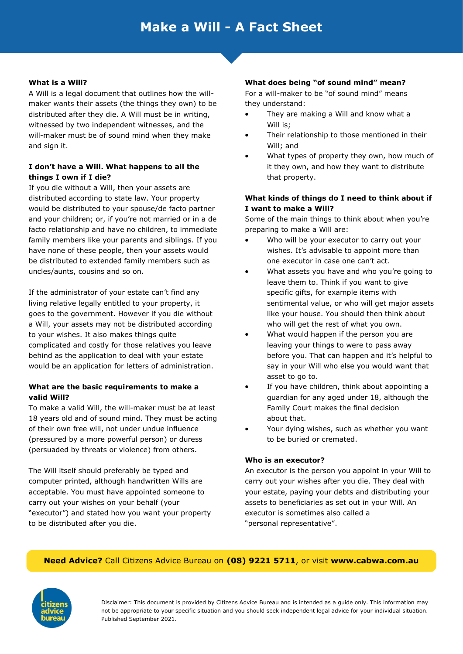#### **What is a Will?**

A Will is a legal document that outlines how the willmaker wants their assets (the things they own) to be distributed after they die. A Will must be in writing, witnessed by two independent witnesses, and the will-maker must be of sound mind when they make and sign it.

## **I don't have a Will. What happens to all the things I own if I die?**

If you die without a Will, then your assets are distributed according to state law. Your property would be distributed to your spouse/de facto partner and your children; or, if you're not married or in a de facto relationship and have no children, to immediate family members like your parents and siblings. If you have none of these people, then your assets would be distributed to extended family members such as uncles/aunts, cousins and so on.

If the administrator of your estate can't find any living relative legally entitled to your property, it goes to the government. However if you die without a Will, your assets may not be distributed according to your wishes. It also makes things quite complicated and costly for those relatives you leave behind as the application to deal with your estate would be an application for letters of administration.

### **What are the basic requirements to make a valid Will?**

To make a valid Will, the will-maker must be at least 18 years old and of sound mind. They must be acting of their own free will, not under undue influence (pressured by a more powerful person) or duress (persuaded by threats or violence) from others.

The Will itself should preferably be typed and computer printed, although handwritten Wills are acceptable. You must have appointed someone to carry out your wishes on your behalf (your "executor") and stated how you want your property to be distributed after you die.

#### **What does being "of sound mind" mean?**

For a will-maker to be "of sound mind" means they understand:

- They are making a Will and know what a Will is;
- Their relationship to those mentioned in their Will; and
- What types of property they own, how much of it they own, and how they want to distribute that property.

### **What kinds of things do I need to think about if I want to make a Will?**

Some of the main things to think about when you're preparing to make a Will are:

- Who will be your executor to carry out your wishes. It's advisable to appoint more than one executor in case one can't act.
- What assets you have and who you're going to leave them to. Think if you want to give specific gifts, for example items with sentimental value, or who will get major assets like your house. You should then think about who will get the rest of what you own.
- What would happen if the person you are leaving your things to were to pass away before you. That can happen and it's helpful to say in your Will who else you would want that asset to go to.
- If you have children, think about appointing a guardian for any aged under 18, although the Family Court makes the final decision about that.
- Your dying wishes, such as whether you want to be buried or cremated.

#### **Who is an executor?**

An executor is the person you appoint in your Will to carry out your wishes after you die. They deal with your estate, paying your debts and distributing your assets to beneficiaries as set out in your Will. An executor is sometimes also called a "personal representative".

#### **Need Advice?** Call Citizens Advice Bureau on **(08) 9221 5711**, or visit **www.cabwa.com.au**

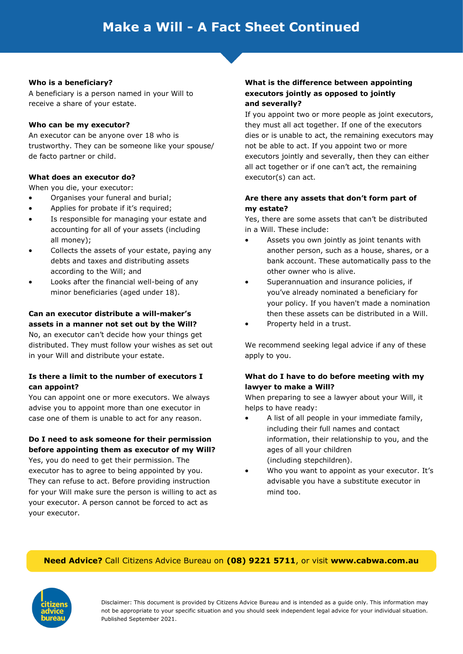#### **Who is a beneficiary?**

A beneficiary is a person named in your Will to receive a share of your estate.

### **Who can be my executor?**

An executor can be anyone over 18 who is trustworthy. They can be someone like your spouse/ de facto partner or child.

## **What does an executor do?**

When you die, your executor:

- Organises your funeral and burial;
- Applies for probate if it's required;
- Is responsible for managing your estate and accounting for all of your assets (including all money);
- Collects the assets of your estate, paying any debts and taxes and distributing assets according to the Will; and
- Looks after the financial well-being of any minor beneficiaries (aged under 18).

#### **Can an executor distribute a will-maker's assets in a manner not set out by the Will?**

No, an executor can't decide how your things get distributed. They must follow your wishes as set out in your Will and distribute your estate.

### **Is there a limit to the number of executors I can appoint?**

You can appoint one or more executors. We always advise you to appoint more than one executor in case one of them is unable to act for any reason.

## **Do I need to ask someone for their permission before appointing them as executor of my Will?**

Yes, you do need to get their permission. The executor has to agree to being appointed by you. They can refuse to act. Before providing instruction for your Will make sure the person is willing to act as your executor. A person cannot be forced to act as your executor.

### **What is the difference between appointing executors jointly as opposed to jointly and severally?**

If you appoint two or more people as joint executors, they must all act together. If one of the executors dies or is unable to act, the remaining executors may not be able to act. If you appoint two or more executors jointly and severally, then they can either all act together or if one can't act, the remaining executor(s) can act.

## **Are there any assets that don't form part of my estate?**

Yes, there are some assets that can't be distributed in a Will. These include:

- Assets you own jointly as joint tenants with another person, such as a house, shares, or a bank account. These automatically pass to the other owner who is alive.
- Superannuation and insurance policies, if you've already nominated a beneficiary for your policy. If you haven't made a nomination then these assets can be distributed in a Will.
- Property held in a trust.

We recommend seeking legal advice if any of these apply to you.

## **What do I have to do before meeting with my lawyer to make a Will?**

When preparing to see a lawyer about your Will, it helps to have ready:

- A list of all people in your immediate family, including their full names and contact information, their relationship to you, and the ages of all your children (including stepchildren).
- Who you want to appoint as your executor. It's advisable you have a substitute executor in mind too.

## **Need Advice?** Call Citizens Advice Bureau on **(08) 9221 5711**, or visit **www.cabwa.com.au**

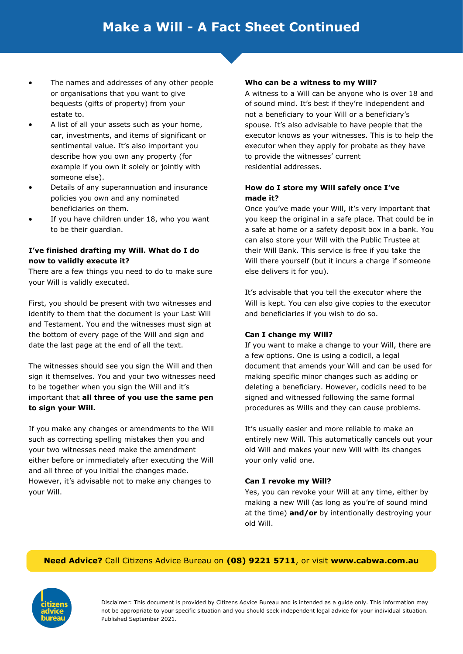- The names and addresses of any other people or organisations that you want to give bequests (gifts of property) from your estate to.
- A list of all your assets such as your home, car, investments, and items of significant or sentimental value. It's also important you describe how you own any property (for example if you own it solely or jointly with someone else).
- Details of any superannuation and insurance policies you own and any nominated beneficiaries on them.
- If you have children under 18, who you want to be their guardian.

## **I've finished drafting my Will. What do I do now to validly execute it?**

There are a few things you need to do to make sure your Will is validly executed.

First, you should be present with two witnesses and identify to them that the document is your Last Will and Testament. You and the witnesses must sign at the bottom of every page of the Will and sign and date the last page at the end of all the text.

The witnesses should see you sign the Will and then sign it themselves. You and your two witnesses need to be together when you sign the Will and it's important that **all three of you use the same pen to sign your Will.** 

If you make any changes or amendments to the Will such as correcting spelling mistakes then you and your two witnesses need make the amendment either before or immediately after executing the Will and all three of you initial the changes made. However, it's advisable not to make any changes to your Will.

#### **Who can be a witness to my Will?**

A witness to a Will can be anyone who is over 18 and of sound mind. It's best if they're independent and not a beneficiary to your Will or a beneficiary's spouse. It's also advisable to have people that the executor knows as your witnesses. This is to help the executor when they apply for probate as they have to provide the witnesses' current residential addresses.

## **How do I store my Will safely once I've made it?**

Once you've made your Will, it's very important that you keep the original in a safe place. That could be in a safe at home or a safety deposit box in a bank. You can also store your Will with the Public Trustee at their Will Bank. This service is free if you take the Will there yourself (but it incurs a charge if someone else delivers it for you).

It's advisable that you tell the executor where the Will is kept. You can also give copies to the executor and beneficiaries if you wish to do so.

#### **Can I change my Will?**

If you want to make a change to your Will, there are a few options. One is using a codicil, a legal document that amends your Will and can be used for making specific minor changes such as adding or deleting a beneficiary. However, codicils need to be signed and witnessed following the same formal procedures as Wills and they can cause problems.

It's usually easier and more reliable to make an entirely new Will. This automatically cancels out your old Will and makes your new Will with its changes your only valid one.

#### **Can I revoke my Will?**

Yes, you can revoke your Will at any time, either by making a new Will (as long as you're of sound mind at the time) **and/or** by intentionally destroying your old Will.

## **Need Advice?** Call Citizens Advice Bureau on **(08) 9221 5711**, or visit **www.cabwa.com.au**